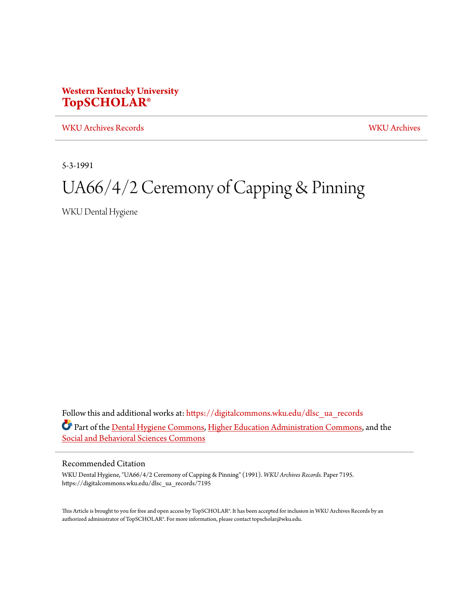## **Western Kentucky University [TopSCHOLAR®](https://digitalcommons.wku.edu/?utm_source=digitalcommons.wku.edu%2Fdlsc_ua_records%2F7195&utm_medium=PDF&utm_campaign=PDFCoverPages)**

[WKU Archives Records](https://digitalcommons.wku.edu/dlsc_ua_records?utm_source=digitalcommons.wku.edu%2Fdlsc_ua_records%2F7195&utm_medium=PDF&utm_campaign=PDFCoverPages) [WKU Archives](https://digitalcommons.wku.edu/dlsc_ua?utm_source=digitalcommons.wku.edu%2Fdlsc_ua_records%2F7195&utm_medium=PDF&utm_campaign=PDFCoverPages)

5-3-1991

# UA66/4/2 Ceremony of Capping & Pinning

WKU Dental Hygiene

Follow this and additional works at: [https://digitalcommons.wku.edu/dlsc\\_ua\\_records](https://digitalcommons.wku.edu/dlsc_ua_records?utm_source=digitalcommons.wku.edu%2Fdlsc_ua_records%2F7195&utm_medium=PDF&utm_campaign=PDFCoverPages) Part of the **Dental Hygiene Commons**, [Higher Education Administration Commons,](http://network.bepress.com/hgg/discipline/791?utm_source=digitalcommons.wku.edu%2Fdlsc_ua_records%2F7195&utm_medium=PDF&utm_campaign=PDFCoverPages) and the [Social and Behavioral Sciences Commons](http://network.bepress.com/hgg/discipline/316?utm_source=digitalcommons.wku.edu%2Fdlsc_ua_records%2F7195&utm_medium=PDF&utm_campaign=PDFCoverPages)

### Recommended Citation

WKU Dental Hygiene, "UA66/4/2 Ceremony of Capping & Pinning" (1991). *WKU Archives Records.* Paper 7195. https://digitalcommons.wku.edu/dlsc\_ua\_records/7195

This Article is brought to you for free and open access by TopSCHOLAR®. It has been accepted for inclusion in WKU Archives Records by an authorized administrator of TopSCHOLAR®. For more information, please contact topscholar@wku.edu.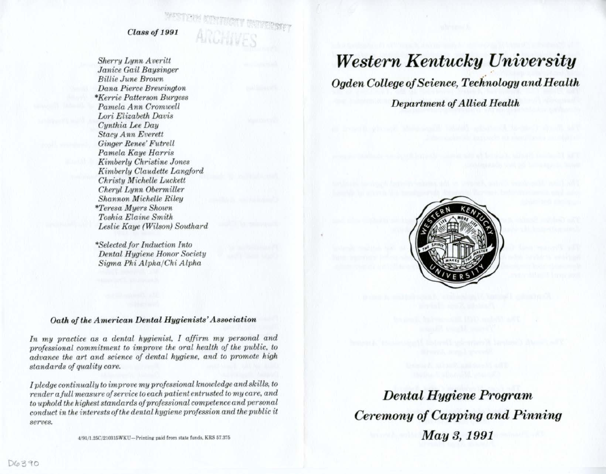*Class of 1991* 

*Sherry Lynn Averitt Janice Gail Baysinger Billie June Broum Dana Pierce Brewington \*Kerrie Patterson Burgess Pamela Ann Cromwell Lori Elizabeth Davis Cynthia Lee Day Stacy A nn Everett Ginger Renee' Futrell Pamela Kaye Harris Kimberly Christine Jones Kimberly Claudette Langford Christy Michelle Luckett Cheryl LtJnn Obermiller Shannon Michelle Riley \*Teresa Myers Shown Toshia Elaine Smith Leslie Kaye (Wilson) Southard* 

*\*Selected/or Induction Into Dental Hygiene Honor Society Sigma Phi Alpha/Chi Alpha* 

# *Western Kentucky University*

*Ogden College of S cience, Tech'nology and H ealth* 

*Department of A llied Health* 



#### *Oath of the American Dental Hygienists' Associati on*

In my practice as a dental hygienist, I affirm my personal and *professional commitment to improve the oral health of the public, to advance the art and science of dental hygiene, and to promote high standards of quality care.* 

*I pledge continually to improve my professional knowledge and skills, to render a full measure of service to each patient entrusted to my care, and to uphold the highest standards of professional competence and personal conduct in the interests of the dental hygiene profession and the public it serves.* 

4 91/l.25C'210316WJ<U-Printing **p&Jd** from **stale** funds. KRS 67.375

*Dental Hygiene Program Ceremony of Capping and Pinning May 3, 1991*